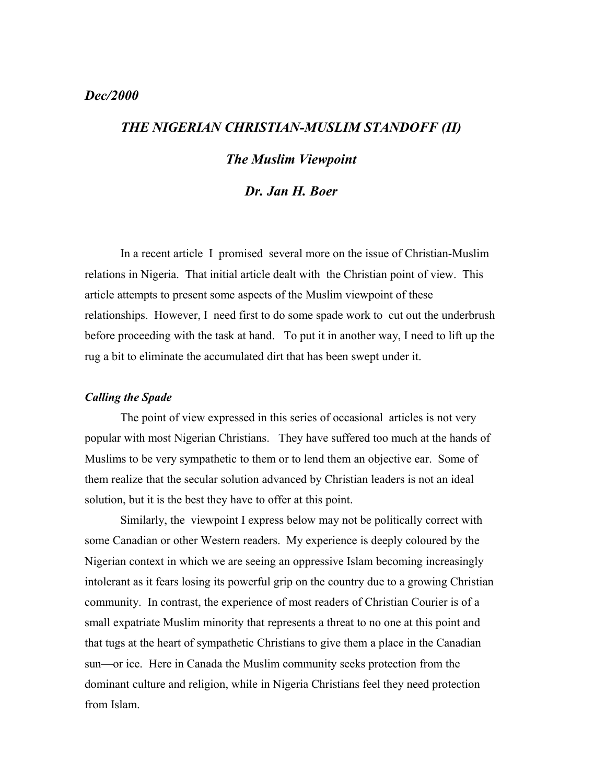# *Dec/2000*

# *THE NIGERIAN CHRISTIAN-MUSLIM STANDOFF (II)*

# *The Muslim Viewpoint*

## *Dr. Jan H. Boer*

In a recent article I promised several more on the issue of Christian-Muslim relations in Nigeria. That initial article dealt with the Christian point of view. This article attempts to present some aspects of the Muslim viewpoint of these relationships. However, I need first to do some spade work to cut out the underbrush before proceeding with the task at hand. To put it in another way, I need to lift up the rug a bit to eliminate the accumulated dirt that has been swept under it.

#### *Calling the Spade*

The point of view expressed in this series of occasional articles is not very popular with most Nigerian Christians. They have suffered too much at the hands of Muslims to be very sympathetic to them or to lend them an objective ear. Some of them realize that the secular solution advanced by Christian leaders is not an ideal solution, but it is the best they have to offer at this point.

Similarly, the viewpoint I express below may not be politically correct with some Canadian or other Western readers. My experience is deeply coloured by the Nigerian context in which we are seeing an oppressive Islam becoming increasingly intolerant as it fears losing its powerful grip on the country due to a growing Christian community. In contrast, the experience of most readers of Christian Courier is of a small expatriate Muslim minority that represents a threat to no one at this point and that tugs at the heart of sympathetic Christians to give them a place in the Canadian sun—or ice. Here in Canada the Muslim community seeks protection from the dominant culture and religion, while in Nigeria Christians feel they need protection from Islam.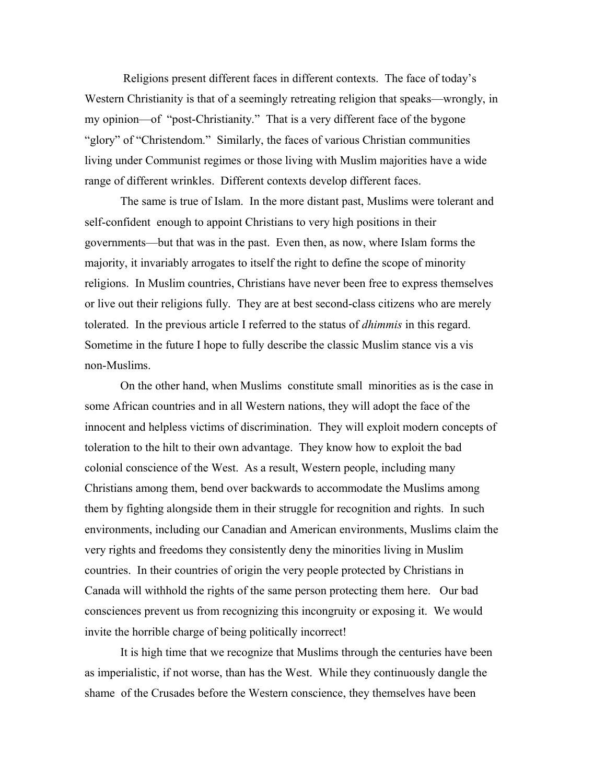Religions present different faces in different contexts. The face of today's Western Christianity is that of a seemingly retreating religion that speaks—wrongly, in my opinion—of "post-Christianity." That is a very different face of the bygone "glory" of "Christendom." Similarly, the faces of various Christian communities living under Communist regimes or those living with Muslim majorities have a wide range of different wrinkles. Different contexts develop different faces.

The same is true of Islam. In the more distant past, Muslims were tolerant and self-confident enough to appoint Christians to very high positions in their governments—but that was in the past. Even then, as now, where Islam forms the majority, it invariably arrogates to itself the right to define the scope of minority religions. In Muslim countries, Christians have never been free to express themselves or live out their religions fully. They are at best second-class citizens who are merely tolerated. In the previous article I referred to the status of *dhimmis* in this regard. Sometime in the future I hope to fully describe the classic Muslim stance vis a vis non-Muslims.

On the other hand, when Muslims constitute small minorities as is the case in some African countries and in all Western nations, they will adopt the face of the innocent and helpless victims of discrimination. They will exploit modern concepts of toleration to the hilt to their own advantage. They know how to exploit the bad colonial conscience of the West. As a result, Western people, including many Christians among them, bend over backwards to accommodate the Muslims among them by fighting alongside them in their struggle for recognition and rights. In such environments, including our Canadian and American environments, Muslims claim the very rights and freedoms they consistently deny the minorities living in Muslim countries. In their countries of origin the very people protected by Christians in Canada will withhold the rights of the same person protecting them here. Our bad consciences prevent us from recognizing this incongruity or exposing it. We would invite the horrible charge of being politically incorrect!

It is high time that we recognize that Muslims through the centuries have been as imperialistic, if not worse, than has the West. While they continuously dangle the shame of the Crusades before the Western conscience, they themselves have been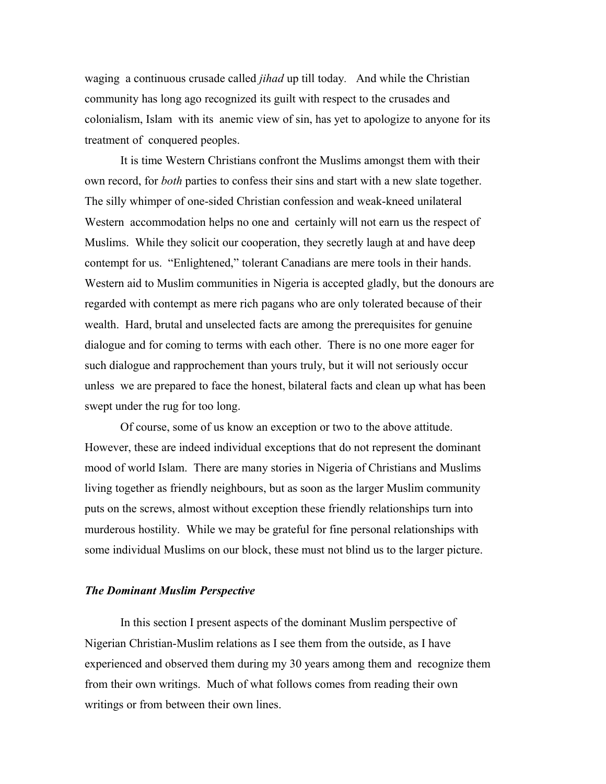waging a continuous crusade called *jihad* up till today*.* And while the Christian community has long ago recognized its guilt with respect to the crusades and colonialism, Islam with its anemic view of sin, has yet to apologize to anyone for its treatment of conquered peoples.

It is time Western Christians confront the Muslims amongst them with their own record, for *both* parties to confess their sins and start with a new slate together. The silly whimper of one-sided Christian confession and weak-kneed unilateral Western accommodation helps no one and certainly will not earn us the respect of Muslims. While they solicit our cooperation, they secretly laugh at and have deep contempt for us. "Enlightened," tolerant Canadians are mere tools in their hands. Western aid to Muslim communities in Nigeria is accepted gladly, but the donours are regarded with contempt as mere rich pagans who are only tolerated because of their wealth. Hard, brutal and unselected facts are among the prerequisites for genuine dialogue and for coming to terms with each other. There is no one more eager for such dialogue and rapprochement than yours truly, but it will not seriously occur unless we are prepared to face the honest, bilateral facts and clean up what has been swept under the rug for too long.

Of course, some of us know an exception or two to the above attitude. However, these are indeed individual exceptions that do not represent the dominant mood of world Islam. There are many stories in Nigeria of Christians and Muslims living together as friendly neighbours, but as soon as the larger Muslim community puts on the screws, almost without exception these friendly relationships turn into murderous hostility. While we may be grateful for fine personal relationships with some individual Muslims on our block, these must not blind us to the larger picture.

#### *The Dominant Muslim Perspective*

In this section I present aspects of the dominant Muslim perspective of Nigerian Christian-Muslim relations as I see them from the outside, as I have experienced and observed them during my 30 years among them and recognize them from their own writings. Much of what follows comes from reading their own writings or from between their own lines.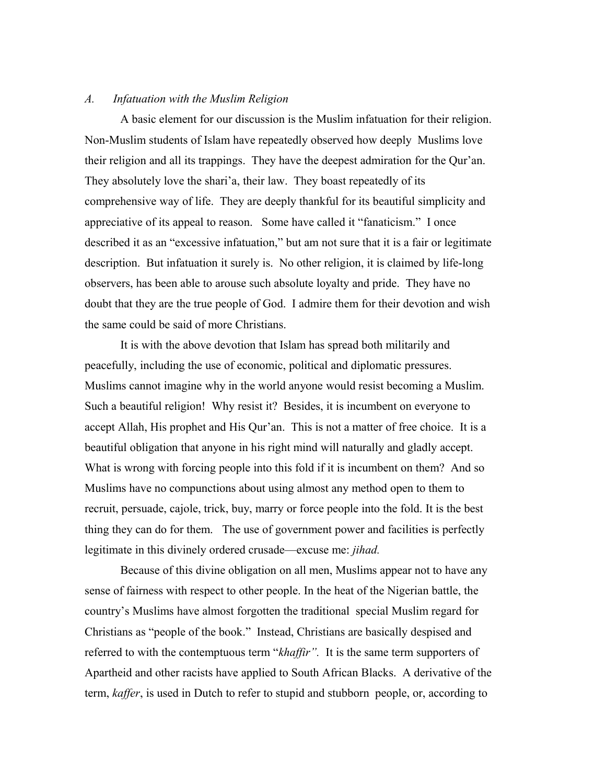#### *A. Infatuation with the Muslim Religion*

A basic element for our discussion is the Muslim infatuation for their religion. Non-Muslim students of Islam have repeatedly observed how deeply Muslims love their religion and all its trappings. They have the deepest admiration for the Qur'an. They absolutely love the shari'a, their law. They boast repeatedly of its comprehensive way of life. They are deeply thankful for its beautiful simplicity and appreciative of its appeal to reason. Some have called it "fanaticism." I once described it as an "excessive infatuation," but am not sure that it is a fair or legitimate description. But infatuation it surely is. No other religion, it is claimed by life-long observers, has been able to arouse such absolute loyalty and pride. They have no doubt that they are the true people of God. I admire them for their devotion and wish the same could be said of more Christians.

It is with the above devotion that Islam has spread both militarily and peacefully, including the use of economic, political and diplomatic pressures. Muslims cannot imagine why in the world anyone would resist becoming a Muslim. Such a beautiful religion! Why resist it? Besides, it is incumbent on everyone to accept Allah, His prophet and His Qur'an. This is not a matter of free choice. It is a beautiful obligation that anyone in his right mind will naturally and gladly accept. What is wrong with forcing people into this fold if it is incumbent on them? And so Muslims have no compunctions about using almost any method open to them to recruit, persuade, cajole, trick, buy, marry or force people into the fold. It is the best thing they can do for them. The use of government power and facilities is perfectly legitimate in this divinely ordered crusade—excuse me: *jihad.*

Because of this divine obligation on all men, Muslims appear not to have any sense of fairness with respect to other people. In the heat of the Nigerian battle, the country's Muslims have almost forgotten the traditional special Muslim regard for Christians as "people of the book." Instead, Christians are basically despised and referred to with the contemptuous term "*khaffir".* It is the same term supporters of Apartheid and other racists have applied to South African Blacks. A derivative of the term, *kaffer*, is used in Dutch to refer to stupid and stubborn people, or, according to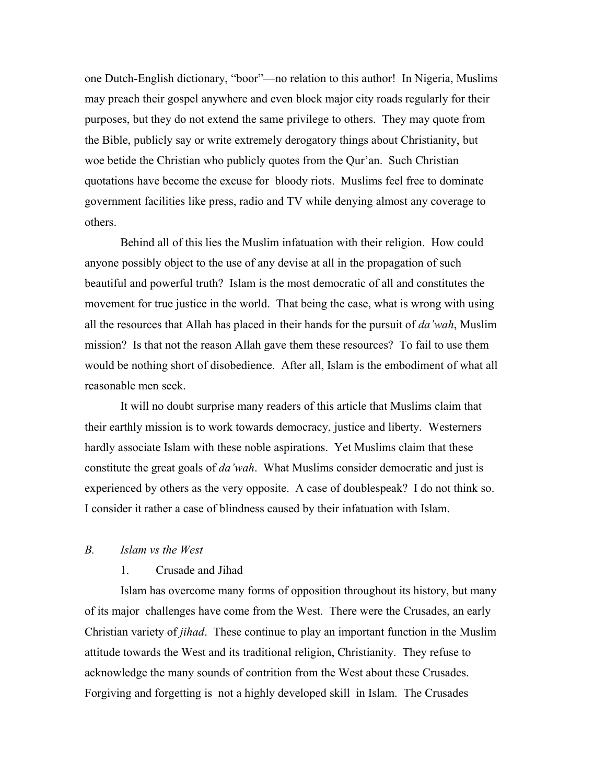one Dutch-English dictionary, "boor"—no relation to this author! In Nigeria, Muslims may preach their gospel anywhere and even block major city roads regularly for their purposes, but they do not extend the same privilege to others. They may quote from the Bible, publicly say or write extremely derogatory things about Christianity, but woe betide the Christian who publicly quotes from the Qur'an. Such Christian quotations have become the excuse for bloody riots. Muslims feel free to dominate government facilities like press, radio and TV while denying almost any coverage to others.

Behind all of this lies the Muslim infatuation with their religion. How could anyone possibly object to the use of any devise at all in the propagation of such beautiful and powerful truth? Islam is the most democratic of all and constitutes the movement for true justice in the world. That being the case, what is wrong with using all the resources that Allah has placed in their hands for the pursuit of *da'wah*, Muslim mission? Is that not the reason Allah gave them these resources? To fail to use them would be nothing short of disobedience. After all, Islam is the embodiment of what all reasonable men seek.

It will no doubt surprise many readers of this article that Muslims claim that their earthly mission is to work towards democracy, justice and liberty. Westerners hardly associate Islam with these noble aspirations. Yet Muslims claim that these constitute the great goals of *da'wah*. What Muslims consider democratic and just is experienced by others as the very opposite. A case of doublespeak? I do not think so. I consider it rather a case of blindness caused by their infatuation with Islam.

## *B. Islam vs the West*

#### 1. Crusade and Jihad

Islam has overcome many forms of opposition throughout its history, but many of its major challenges have come from the West. There were the Crusades, an early Christian variety of *jihad*. These continue to play an important function in the Muslim attitude towards the West and its traditional religion, Christianity. They refuse to acknowledge the many sounds of contrition from the West about these Crusades. Forgiving and forgetting is not a highly developed skill in Islam. The Crusades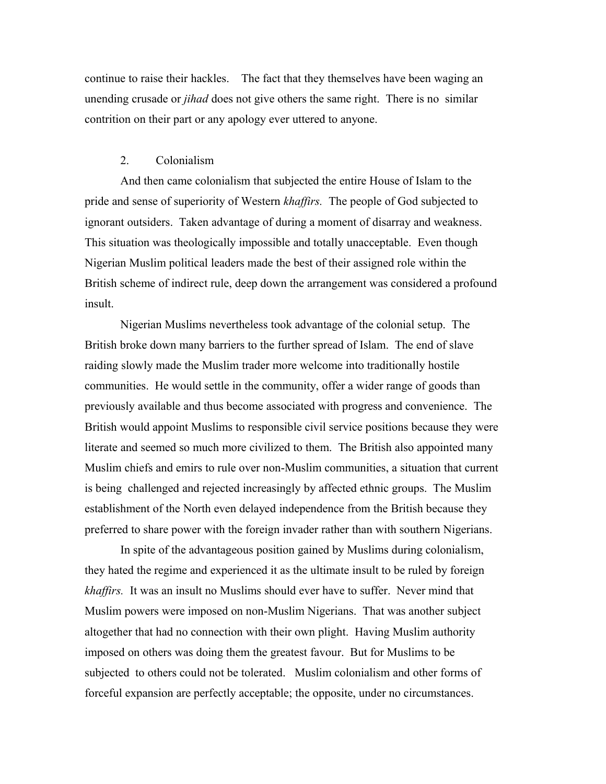continue to raise their hackles. The fact that they themselves have been waging an unending crusade or *jihad* does not give others the same right. There is no similar contrition on their part or any apology ever uttered to anyone.

## 2. Colonialism

And then came colonialism that subjected the entire House of Islam to the pride and sense of superiority of Western *khaffirs.* The people of God subjected to ignorant outsiders. Taken advantage of during a moment of disarray and weakness. This situation was theologically impossible and totally unacceptable. Even though Nigerian Muslim political leaders made the best of their assigned role within the British scheme of indirect rule, deep down the arrangement was considered a profound insult.

Nigerian Muslims nevertheless took advantage of the colonial setup. The British broke down many barriers to the further spread of Islam. The end of slave raiding slowly made the Muslim trader more welcome into traditionally hostile communities. He would settle in the community, offer a wider range of goods than previously available and thus become associated with progress and convenience. The British would appoint Muslims to responsible civil service positions because they were literate and seemed so much more civilized to them. The British also appointed many Muslim chiefs and emirs to rule over non-Muslim communities, a situation that current is being challenged and rejected increasingly by affected ethnic groups. The Muslim establishment of the North even delayed independence from the British because they preferred to share power with the foreign invader rather than with southern Nigerians.

In spite of the advantageous position gained by Muslims during colonialism, they hated the regime and experienced it as the ultimate insult to be ruled by foreign *khaffirs.* It was an insult no Muslims should ever have to suffer. Never mind that Muslim powers were imposed on non-Muslim Nigerians. That was another subject altogether that had no connection with their own plight. Having Muslim authority imposed on others was doing them the greatest favour. But for Muslims to be subjected to others could not be tolerated. Muslim colonialism and other forms of forceful expansion are perfectly acceptable; the opposite, under no circumstances.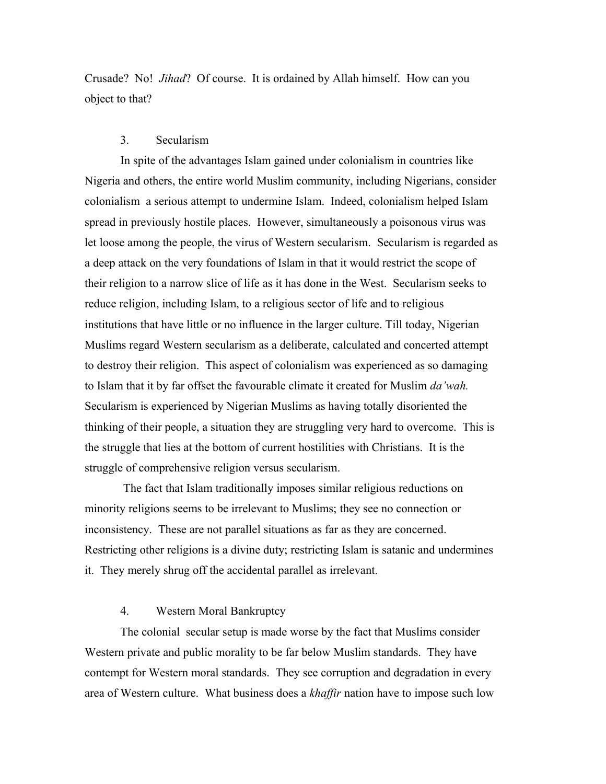Crusade? No! *Jihad*? Of course. It is ordained by Allah himself. How can you object to that?

#### 3. Secularism

In spite of the advantages Islam gained under colonialism in countries like Nigeria and others, the entire world Muslim community, including Nigerians, consider colonialism a serious attempt to undermine Islam. Indeed, colonialism helped Islam spread in previously hostile places. However, simultaneously a poisonous virus was let loose among the people, the virus of Western secularism. Secularism is regarded as a deep attack on the very foundations of Islam in that it would restrict the scope of their religion to a narrow slice of life as it has done in the West. Secularism seeks to reduce religion, including Islam, to a religious sector of life and to religious institutions that have little or no influence in the larger culture. Till today, Nigerian Muslims regard Western secularism as a deliberate, calculated and concerted attempt to destroy their religion. This aspect of colonialism was experienced as so damaging to Islam that it by far offset the favourable climate it created for Muslim *da'wah.* Secularism is experienced by Nigerian Muslims as having totally disoriented the thinking of their people, a situation they are struggling very hard to overcome. This is the struggle that lies at the bottom of current hostilities with Christians. It is the struggle of comprehensive religion versus secularism.

 The fact that Islam traditionally imposes similar religious reductions on minority religions seems to be irrelevant to Muslims; they see no connection or inconsistency. These are not parallel situations as far as they are concerned. Restricting other religions is a divine duty; restricting Islam is satanic and undermines it. They merely shrug off the accidental parallel as irrelevant.

## 4. Western Moral Bankruptcy

The colonial secular setup is made worse by the fact that Muslims consider Western private and public morality to be far below Muslim standards. They have contempt for Western moral standards. They see corruption and degradation in every area of Western culture. What business does a *khaffir* nation have to impose such low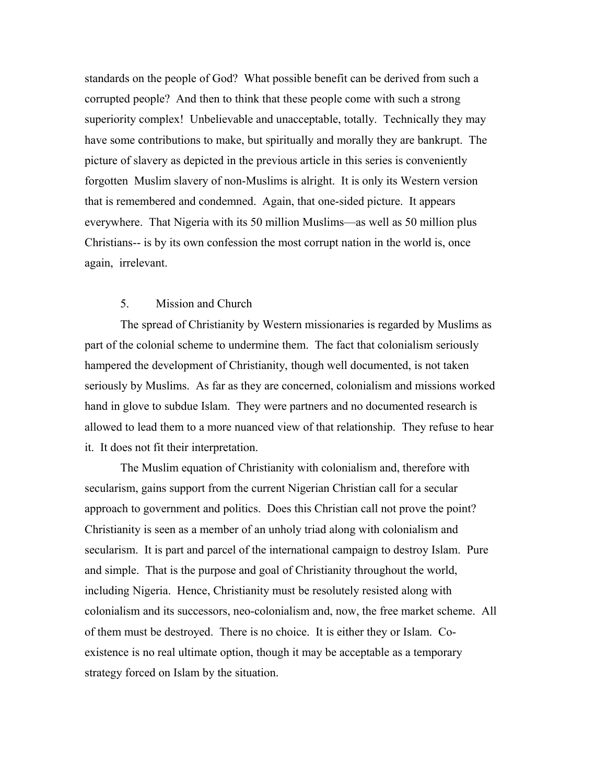standards on the people of God? What possible benefit can be derived from such a corrupted people? And then to think that these people come with such a strong superiority complex! Unbelievable and unacceptable, totally. Technically they may have some contributions to make, but spiritually and morally they are bankrupt. The picture of slavery as depicted in the previous article in this series is conveniently forgotten Muslim slavery of non-Muslims is alright. It is only its Western version that is remembered and condemned. Again, that one-sided picture. It appears everywhere. That Nigeria with its 50 million Muslims—as well as 50 million plus Christians-- is by its own confession the most corrupt nation in the world is, once again, irrelevant.

## 5. Mission and Church

The spread of Christianity by Western missionaries is regarded by Muslims as part of the colonial scheme to undermine them. The fact that colonialism seriously hampered the development of Christianity, though well documented, is not taken seriously by Muslims. As far as they are concerned, colonialism and missions worked hand in glove to subdue Islam. They were partners and no documented research is allowed to lead them to a more nuanced view of that relationship. They refuse to hear it. It does not fit their interpretation.

The Muslim equation of Christianity with colonialism and, therefore with secularism, gains support from the current Nigerian Christian call for a secular approach to government and politics. Does this Christian call not prove the point? Christianity is seen as a member of an unholy triad along with colonialism and secularism. It is part and parcel of the international campaign to destroy Islam. Pure and simple. That is the purpose and goal of Christianity throughout the world, including Nigeria. Hence, Christianity must be resolutely resisted along with colonialism and its successors, neo-colonialism and, now, the free market scheme. All of them must be destroyed. There is no choice. It is either they or Islam. Coexistence is no real ultimate option, though it may be acceptable as a temporary strategy forced on Islam by the situation.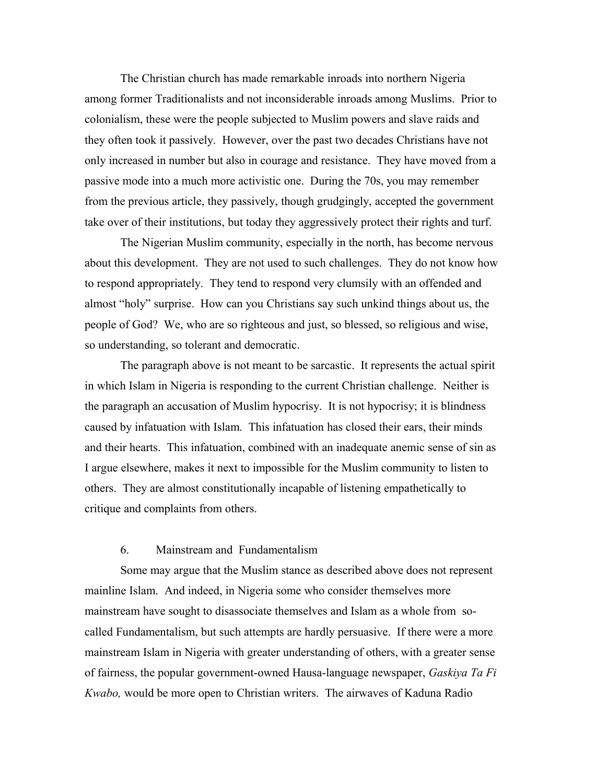The Christian church has made remarkable inroads into northern Nigeria among former Traditionalists and not inconsiderable inroads among Muslims. Prior to colonialism, these were the people subjected to Muslim powers and slave raids and they often took it passively. However, over the past two decades Christians have not only increased in number but also in courage and resistance. They have moved from a passive mode into a much more activistic one. During the 70s, you may remember from the previous article, they passively, though grudgingly, accepted the government take over of their institutions, but today they aggressively protect their rights and turf.

The Nigerian Muslim community, especially in the north, has become nervous about this development. They are not used to such challenges. They do not know how to respond appropriately. They tend to respond very clumsily with an offended and almost "holy" surprise. How can you Christians say such unkind things about us, the people of God? We, who are so righteous and just, so blessed, so religious and wise, so understanding, so tolerant and democratic.

The paragraph above is not meant to be sarcastic. It represents the actual spirit in which Islam in Nigeria is responding to the current Christian challenge. Neither is the paragraph an accusation of Muslim hypocrisy. It is not hypocrisy; it is blindness caused by infatuation with Islam. This infatuation has closed their ears, their minds and their hearts. This infatuation, combined with an inadequate anemic sense of sin as I argue elsewhere, makes it next to impossible for the Muslim community to listen to others. They are almost constitutionally incapable of listening empathetically to critique and complaints from others.

## 6. Mainstream and Fundamentalism

Some may argue that the Muslim stance as described above does not represent mainline Islam. And indeed, in Nigeria some who consider themselves more mainstream have sought to disassociate themselves and Islam as a whole from socalled Fundamentalism, but such attempts are hardly persuasive. If there were a more mainstream Islam in Nigeria with greater understanding of others, with a greater sense of fairness, the popular government-owned Hausa-language newspaper, *Gaskiya Ta Fi Kwabo,* would be more open to Christian writers. The airwaves of Kaduna Radio